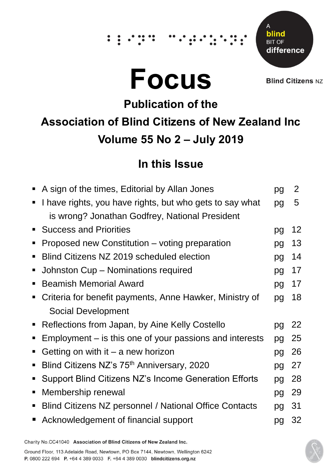# **Focus**



∵.

**Blind Citizens NZ** 

## **Publication of the Association of Blind Citizens of New Zealand Inc Volume 55 No 2 – July 2019**

## **In this Issue**

|                | A sign of the times, Editorial by Allan Jones            | pg | 2       |
|----------------|----------------------------------------------------------|----|---------|
| п              | I have rights, you have rights, but who gets to say what | pg | 5       |
|                | is wrong? Jonathan Godfrey, National President           |    |         |
|                | <b>Success and Priorities</b>                            | pg | $12 \,$ |
| ш              | Proposed new Constitution – voting preparation           | pg | 13      |
| п              | Blind Citizens NZ 2019 scheduled election                | pg | 14      |
| п              | Johnston Cup - Nominations required                      | pg | 17      |
| $\blacksquare$ | <b>Beamish Memorial Award</b>                            | pg | 17      |
| $\blacksquare$ | Criteria for benefit payments, Anne Hawker, Ministry of  | pg | 18      |
|                | <b>Social Development</b>                                |    |         |
| п              | Reflections from Japan, by Aine Kelly Costello           | pg | 22      |
| Г              | Employment – is this one of your passions and interests  | pg | 25      |
| ٠              | Getting on with it $-$ a new horizon                     | pg | 26      |
| п              | Blind Citizens NZ's 75 <sup>th</sup> Anniversary, 2020   | pg | 27      |
| п              | Support Blind Citizens NZ's Income Generation Efforts    | pg | 28      |
| п              | Membership renewal                                       | pg | 29      |
| п              | Blind Citizens NZ personnel / National Office Contacts   | pg | 31      |
|                | Acknowledgement of financial support                     | pg | 32      |



Ground Floor, 113 Adelaide Road, Newtown, PO Box 7144, Newtown, Wellington 6242 P. 0800 222 694 P. +64 4 389 0033 F. +64 4 389 0030 blindcitizens.org.nz

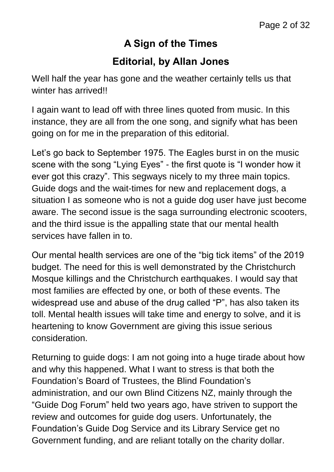## **A Sign of the Times**

## **Editorial, by Allan Jones**

Well half the year has gone and the weather certainly tells us that winter has arrived!!

I again want to lead off with three lines quoted from music. In this instance, they are all from the one song, and signify what has been going on for me in the preparation of this editorial.

Let's go back to September 1975. The Eagles burst in on the music scene with the song "Lying Eyes" - the first quote is "I wonder how it ever got this crazy". This segways nicely to my three main topics. Guide dogs and the wait-times for new and replacement dogs, a situation I as someone who is not a guide dog user have just become aware. The second issue is the saga surrounding electronic scooters, and the third issue is the appalling state that our mental health services have fallen in to.

Our mental health services are one of the "big tick items" of the 2019 budget. The need for this is well demonstrated by the Christchurch Mosque killings and the Christchurch earthquakes. I would say that most families are effected by one, or both of these events. The widespread use and abuse of the drug called "P", has also taken its toll. Mental health issues will take time and energy to solve, and it is heartening to know Government are giving this issue serious consideration.

Returning to guide dogs: I am not going into a huge tirade about how and why this happened. What I want to stress is that both the Foundation's Board of Trustees, the Blind Foundation's administration, and our own Blind Citizens NZ, mainly through the "Guide Dog Forum" held two years ago, have striven to support the review and outcomes for guide dog users. Unfortunately, the Foundation's Guide Dog Service and its Library Service get no Government funding, and are reliant totally on the charity dollar.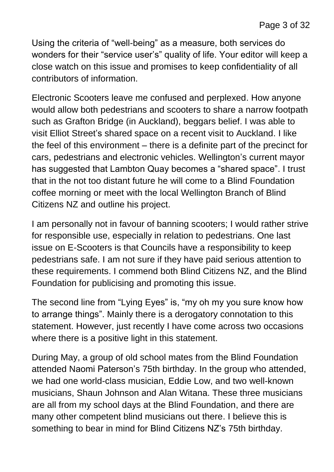Using the criteria of "well-being" as a measure, both services do wonders for their "service user's" quality of life. Your editor will keep a close watch on this issue and promises to keep confidentiality of all contributors of information.

Electronic Scooters leave me confused and perplexed. How anyone would allow both pedestrians and scooters to share a narrow footpath such as Grafton Bridge (in Auckland), beggars belief. I was able to visit Elliot Street's shared space on a recent visit to Auckland. I like the feel of this environment – there is a definite part of the precinct for cars, pedestrians and electronic vehicles. Wellington's current mayor has suggested that Lambton Quay becomes a "shared space". I trust that in the not too distant future he will come to a Blind Foundation coffee morning or meet with the local Wellington Branch of Blind Citizens NZ and outline his project.

I am personally not in favour of banning scooters; I would rather strive for responsible use, especially in relation to pedestrians. One last issue on E-Scooters is that Councils have a responsibility to keep pedestrians safe. I am not sure if they have paid serious attention to these requirements. I commend both Blind Citizens NZ, and the Blind Foundation for publicising and promoting this issue.

The second line from "Lying Eyes" is, "my oh my you sure know how to arrange things". Mainly there is a derogatory connotation to this statement. However, just recently I have come across two occasions where there is a positive light in this statement.

During May, a group of old school mates from the Blind Foundation attended Naomi Paterson's 75th birthday. In the group who attended, we had one world-class musician, Eddie Low, and two well-known musicians, Shaun Johnson and Alan Witana. These three musicians are all from my school days at the Blind Foundation, and there are many other competent blind musicians out there. I believe this is something to bear in mind for Blind Citizens NZ's 75th birthday.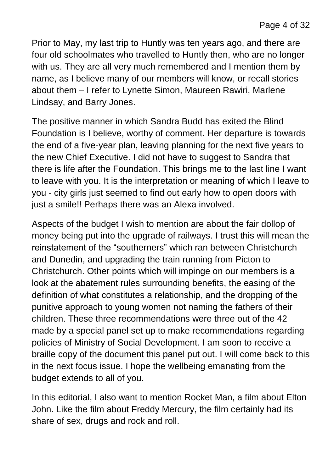Prior to May, my last trip to Huntly was ten years ago, and there are four old schoolmates who travelled to Huntly then, who are no longer with us. They are all very much remembered and I mention them by name, as I believe many of our members will know, or recall stories about them – I refer to Lynette Simon, Maureen Rawiri, Marlene Lindsay, and Barry Jones.

The positive manner in which Sandra Budd has exited the Blind Foundation is I believe, worthy of comment. Her departure is towards the end of a five-year plan, leaving planning for the next five years to the new Chief Executive. I did not have to suggest to Sandra that there is life after the Foundation. This brings me to the last line I want to leave with you. It is the interpretation or meaning of which I leave to you - city girls just seemed to find out early how to open doors with just a smile!! Perhaps there was an Alexa involved.

Aspects of the budget I wish to mention are about the fair dollop of money being put into the upgrade of railways. I trust this will mean the reinstatement of the "southerners" which ran between Christchurch and Dunedin, and upgrading the train running from Picton to Christchurch. Other points which will impinge on our members is a look at the abatement rules surrounding benefits, the easing of the definition of what constitutes a relationship, and the dropping of the punitive approach to young women not naming the fathers of their children. These three recommendations were three out of the 42 made by a special panel set up to make recommendations regarding policies of Ministry of Social Development. I am soon to receive a braille copy of the document this panel put out. I will come back to this in the next focus issue. I hope the wellbeing emanating from the budget extends to all of you.

In this editorial, I also want to mention Rocket Man, a film about Elton John. Like the film about Freddy Mercury, the film certainly had its share of sex, drugs and rock and roll.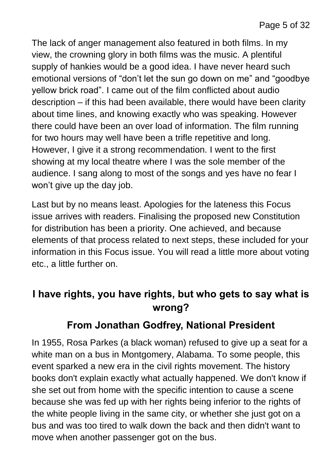The lack of anger management also featured in both films. In my view, the crowning glory in both films was the music. A plentiful supply of hankies would be a good idea. I have never heard such emotional versions of "don't let the sun go down on me" and "goodbye yellow brick road". I came out of the film conflicted about audio description – if this had been available, there would have been clarity about time lines, and knowing exactly who was speaking. However there could have been an over load of information. The film running for two hours may well have been a trifle repetitive and long. However, I give it a strong recommendation. I went to the first showing at my local theatre where I was the sole member of the audience. I sang along to most of the songs and yes have no fear I won't give up the day job.

Last but by no means least. Apologies for the lateness this Focus issue arrives with readers. Finalising the proposed new Constitution for distribution has been a priority. One achieved, and because elements of that process related to next steps, these included for your information in this Focus issue. You will read a little more about voting etc., a little further on.

## **I have rights, you have rights, but who gets to say what is wrong?**

#### **From Jonathan Godfrey, National President**

In 1955, Rosa Parkes (a black woman) refused to give up a seat for a white man on a bus in Montgomery, Alabama. To some people, this event sparked a new era in the civil rights movement. The history books don't explain exactly what actually happened. We don't know if she set out from home with the specific intention to cause a scene because she was fed up with her rights being inferior to the rights of the white people living in the same city, or whether she just got on a bus and was too tired to walk down the back and then didn't want to move when another passenger got on the bus.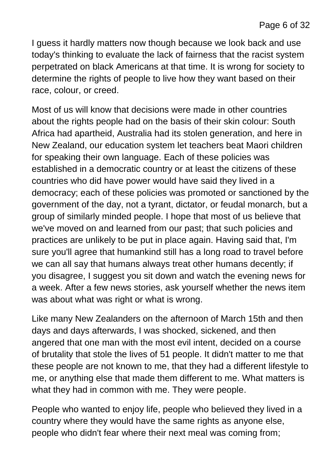I guess it hardly matters now though because we look back and use today's thinking to evaluate the lack of fairness that the racist system perpetrated on black Americans at that time. It is wrong for society to determine the rights of people to live how they want based on their race, colour, or creed.

Most of us will know that decisions were made in other countries about the rights people had on the basis of their skin colour: South Africa had apartheid, Australia had its stolen generation, and here in New Zealand, our education system let teachers beat Maori children for speaking their own language. Each of these policies was established in a democratic country or at least the citizens of these countries who did have power would have said they lived in a democracy; each of these policies was promoted or sanctioned by the government of the day, not a tyrant, dictator, or feudal monarch, but a group of similarly minded people. I hope that most of us believe that we've moved on and learned from our past; that such policies and practices are unlikely to be put in place again. Having said that, I'm sure you'll agree that humankind still has a long road to travel before we can all say that humans always treat other humans decently; if you disagree, I suggest you sit down and watch the evening news for a week. After a few news stories, ask yourself whether the news item was about what was right or what is wrong.

Like many New Zealanders on the afternoon of March 15th and then days and days afterwards, I was shocked, sickened, and then angered that one man with the most evil intent, decided on a course of brutality that stole the lives of 51 people. It didn't matter to me that these people are not known to me, that they had a different lifestyle to me, or anything else that made them different to me. What matters is what they had in common with me. They were people.

People who wanted to enjoy life, people who believed they lived in a country where they would have the same rights as anyone else, people who didn't fear where their next meal was coming from;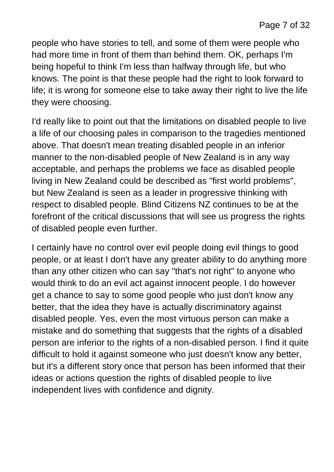people who have stories to tell, and some of them were people who had more time in front of them than behind them. OK, perhaps I'm being hopeful to think I'm less than halfway through life, but who knows. The point is that these people had the right to look forward to life; it is wrong for someone else to take away their right to live the life they were choosing.

I'd really like to point out that the limitations on disabled people to live a life of our choosing pales in comparison to the tragedies mentioned above. That doesn't mean treating disabled people in an inferior manner to the non-disabled people of New Zealand is in any way acceptable, and perhaps the problems we face as disabled people living in New Zealand could be described as "first world problems", but New Zealand is seen as a leader in progressive thinking with respect to disabled people. Blind Citizens NZ continues to be at the forefront of the critical discussions that will see us progress the rights of disabled people even further.

I certainly have no control over evil people doing evil things to good people, or at least I don't have any greater ability to do anything more than any other citizen who can say "that's not right" to anyone who would think to do an evil act against innocent people. I do however get a chance to say to some good people who just don't know any better, that the idea they have is actually discriminatory against disabled people. Yes, even the most virtuous person can make a mistake and do something that suggests that the rights of a disabled person are inferior to the rights of a non-disabled person. I find it quite difficult to hold it against someone who just doesn't know any better, but it's a different story once that person has been informed that their ideas or actions question the rights of disabled people to live independent lives with confidence and dignity.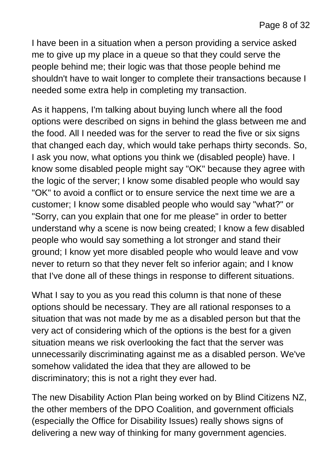I have been in a situation when a person providing a service asked me to give up my place in a queue so that they could serve the people behind me; their logic was that those people behind me shouldn't have to wait longer to complete their transactions because I needed some extra help in completing my transaction.

As it happens, I'm talking about buying lunch where all the food options were described on signs in behind the glass between me and the food. All I needed was for the server to read the five or six signs that changed each day, which would take perhaps thirty seconds. So, I ask you now, what options you think we (disabled people) have. I know some disabled people might say "OK" because they agree with the logic of the server; I know some disabled people who would say "OK" to avoid a conflict or to ensure service the next time we are a customer; I know some disabled people who would say "what?" or "Sorry, can you explain that one for me please" in order to better understand why a scene is now being created; I know a few disabled people who would say something a lot stronger and stand their ground; I know yet more disabled people who would leave and vow never to return so that they never felt so inferior again; and I know that I've done all of these things in response to different situations.

What I say to you as you read this column is that none of these options should be necessary. They are all rational responses to a situation that was not made by me as a disabled person but that the very act of considering which of the options is the best for a given situation means we risk overlooking the fact that the server was unnecessarily discriminating against me as a disabled person. We've somehow validated the idea that they are allowed to be discriminatory; this is not a right they ever had.

The new Disability Action Plan being worked on by Blind Citizens NZ, the other members of the DPO Coalition, and government officials (especially the Office for Disability Issues) really shows signs of delivering a new way of thinking for many government agencies.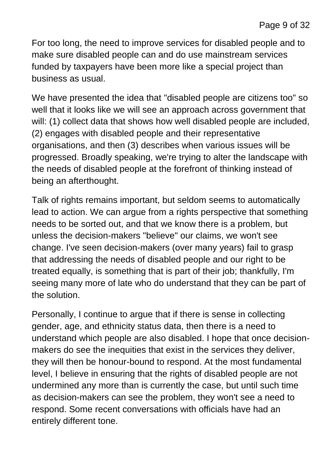For too long, the need to improve services for disabled people and to make sure disabled people can and do use mainstream services funded by taxpayers have been more like a special project than business as usual.

We have presented the idea that "disabled people are citizens too" so well that it looks like we will see an approach across government that will: (1) collect data that shows how well disabled people are included, (2) engages with disabled people and their representative organisations, and then (3) describes when various issues will be progressed. Broadly speaking, we're trying to alter the landscape with the needs of disabled people at the forefront of thinking instead of being an afterthought.

Talk of rights remains important, but seldom seems to automatically lead to action. We can argue from a rights perspective that something needs to be sorted out, and that we know there is a problem, but unless the decision-makers "believe" our claims, we won't see change. I've seen decision-makers (over many years) fail to grasp that addressing the needs of disabled people and our right to be treated equally, is something that is part of their job; thankfully, I'm seeing many more of late who do understand that they can be part of the solution.

Personally, I continue to argue that if there is sense in collecting gender, age, and ethnicity status data, then there is a need to understand which people are also disabled. I hope that once decisionmakers do see the inequities that exist in the services they deliver, they will then be honour-bound to respond. At the most fundamental level, I believe in ensuring that the rights of disabled people are not undermined any more than is currently the case, but until such time as decision-makers can see the problem, they won't see a need to respond. Some recent conversations with officials have had an entirely different tone.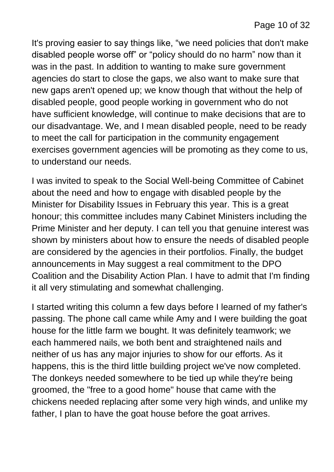It's proving easier to say things like, "we need policies that don't make disabled people worse off" or "policy should do no harm" now than it was in the past. In addition to wanting to make sure government agencies do start to close the gaps, we also want to make sure that new gaps aren't opened up; we know though that without the help of disabled people, good people working in government who do not have sufficient knowledge, will continue to make decisions that are to our disadvantage. We, and I mean disabled people, need to be ready to meet the call for participation in the community engagement exercises government agencies will be promoting as they come to us, to understand our needs.

I was invited to speak to the Social Well-being Committee of Cabinet about the need and how to engage with disabled people by the Minister for Disability Issues in February this year. This is a great honour; this committee includes many Cabinet Ministers including the Prime Minister and her deputy. I can tell you that genuine interest was shown by ministers about how to ensure the needs of disabled people are considered by the agencies in their portfolios. Finally, the budget announcements in May suggest a real commitment to the DPO Coalition and the Disability Action Plan. I have to admit that I'm finding it all very stimulating and somewhat challenging.

I started writing this column a few days before I learned of my father's passing. The phone call came while Amy and I were building the goat house for the little farm we bought. It was definitely teamwork; we each hammered nails, we both bent and straightened nails and neither of us has any major injuries to show for our efforts. As it happens, this is the third little building project we've now completed. The donkeys needed somewhere to be tied up while they're being groomed, the "free to a good home" house that came with the chickens needed replacing after some very high winds, and unlike my father, I plan to have the goat house before the goat arrives.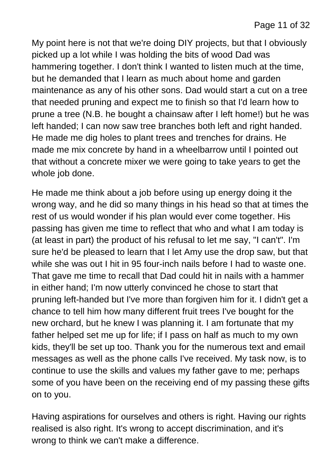My point here is not that we're doing DIY projects, but that I obviously picked up a lot while I was holding the bits of wood Dad was hammering together. I don't think I wanted to listen much at the time, but he demanded that I learn as much about home and garden maintenance as any of his other sons. Dad would start a cut on a tree that needed pruning and expect me to finish so that I'd learn how to prune a tree (N.B. he bought a chainsaw after I left home!) but he was left handed; I can now saw tree branches both left and right handed. He made me dig holes to plant trees and trenches for drains. He made me mix concrete by hand in a wheelbarrow until I pointed out that without a concrete mixer we were going to take years to get the whole job done.

He made me think about a job before using up energy doing it the wrong way, and he did so many things in his head so that at times the rest of us would wonder if his plan would ever come together. His passing has given me time to reflect that who and what I am today is (at least in part) the product of his refusal to let me say, "I can't". I'm sure he'd be pleased to learn that I let Amy use the drop saw, but that while she was out I hit in 95 four-inch nails before I had to waste one. That gave me time to recall that Dad could hit in nails with a hammer in either hand; I'm now utterly convinced he chose to start that pruning left-handed but I've more than forgiven him for it. I didn't get a chance to tell him how many different fruit trees I've bought for the new orchard, but he knew I was planning it. I am fortunate that my father helped set me up for life; if I pass on half as much to my own kids, they'll be set up too. Thank you for the numerous text and email messages as well as the phone calls I've received. My task now, is to continue to use the skills and values my father gave to me; perhaps some of you have been on the receiving end of my passing these gifts on to you.

Having aspirations for ourselves and others is right. Having our rights realised is also right. It's wrong to accept discrimination, and it's wrong to think we can't make a difference.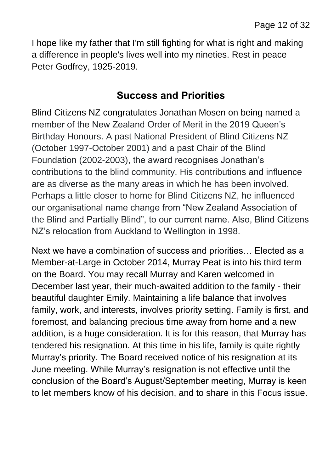I hope like my father that I'm still fighting for what is right and making a difference in people's lives well into my nineties. Rest in peace Peter Godfrey, 1925-2019.

#### **Success and Priorities**

Blind Citizens NZ congratulates Jonathan Mosen on being named a member of the New Zealand Order of Merit in the 2019 Queen's Birthday Honours. A past National President of Blind Citizens NZ (October 1997-October 2001) and a past Chair of the Blind Foundation (2002-2003), the award recognises Jonathan's contributions to the blind community. His contributions and influence are as diverse as the many areas in which he has been involved. Perhaps a little closer to home for Blind Citizens NZ, he influenced our organisational name change from "New Zealand Association of the Blind and Partially Blind", to our current name. Also, Blind Citizens NZ's relocation from Auckland to Wellington in 1998.

Next we have a combination of success and priorities… Elected as a Member-at-Large in October 2014, Murray Peat is into his third term on the Board. You may recall Murray and Karen welcomed in December last year, their much-awaited addition to the family - their beautiful daughter Emily. Maintaining a life balance that involves family, work, and interests, involves priority setting. Family is first, and foremost, and balancing precious time away from home and a new addition, is a huge consideration. It is for this reason, that Murray has tendered his resignation. At this time in his life, family is quite rightly Murray's priority. The Board received notice of his resignation at its June meeting. While Murray's resignation is not effective until the conclusion of the Board's August/September meeting, Murray is keen to let members know of his decision, and to share in this Focus issue.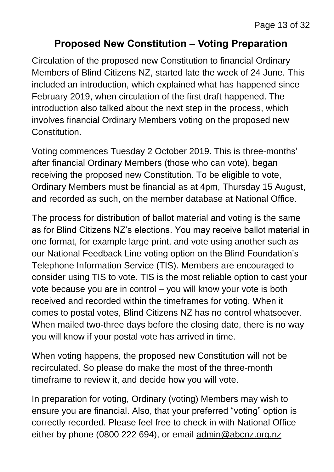#### **Proposed New Constitution – Voting Preparation**

Circulation of the proposed new Constitution to financial Ordinary Members of Blind Citizens NZ, started late the week of 24 June. This included an introduction, which explained what has happened since February 2019, when circulation of the first draft happened. The introduction also talked about the next step in the process, which involves financial Ordinary Members voting on the proposed new Constitution.

Voting commences Tuesday 2 October 2019. This is three-months' after financial Ordinary Members (those who can vote), began receiving the proposed new Constitution. To be eligible to vote, Ordinary Members must be financial as at 4pm, Thursday 15 August, and recorded as such, on the member database at National Office.

The process for distribution of ballot material and voting is the same as for Blind Citizens NZ's elections. You may receive ballot material in one format, for example large print, and vote using another such as our National Feedback Line voting option on the Blind Foundation's Telephone Information Service (TIS). Members are encouraged to consider using TIS to vote. TIS is the most reliable option to cast your vote because you are in control – you will know your vote is both received and recorded within the timeframes for voting. When it comes to postal votes, Blind Citizens NZ has no control whatsoever. When mailed two-three days before the closing date, there is no way you will know if your postal vote has arrived in time.

When voting happens, the proposed new Constitution will not be recirculated. So please do make the most of the three-month timeframe to review it, and decide how you will vote.

In preparation for voting, Ordinary (voting) Members may wish to ensure you are financial. Also, that your preferred "voting" option is correctly recorded. Please feel free to check in with National Office either by phone (0800 222 694), or email [admin@abcnz.org.nz](mailto:admin@abcnz.org.nz)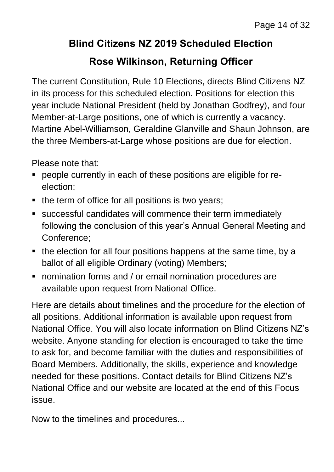## **Blind Citizens NZ 2019 Scheduled Election**

#### **Rose Wilkinson, Returning Officer**

The current Constitution, Rule 10 Elections, directs Blind Citizens NZ in its process for this scheduled election. Positions for election this year include National President (held by Jonathan Godfrey), and four Member-at-Large positions, one of which is currently a vacancy. Martine Abel-Williamson, Geraldine Glanville and Shaun Johnson, are the three Members-at-Large whose positions are due for election.

Please note that:

- people currently in each of these positions are eligible for reelection;
- $\blacksquare$  the term of office for all positions is two years;
- successful candidates will commence their term immediately following the conclusion of this year's Annual General Meeting and Conference;
- the election for all four positions happens at the same time, by a ballot of all eligible Ordinary (voting) Members;
- nomination forms and / or email nomination procedures are available upon request from National Office.

Here are details about timelines and the procedure for the election of all positions. Additional information is available upon request from National Office. You will also locate information on Blind Citizens NZ's website. Anyone standing for election is encouraged to take the time to ask for, and become familiar with the duties and responsibilities of Board Members. Additionally, the skills, experience and knowledge needed for these positions. Contact details for Blind Citizens NZ's National Office and our website are located at the end of this Focus issue.

Now to the timelines and procedures...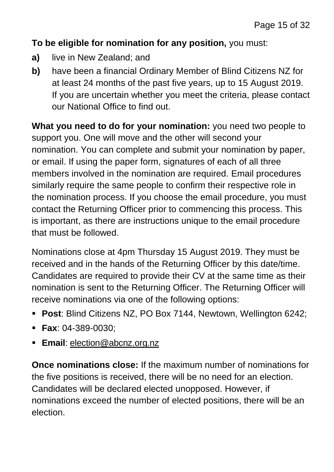#### **To be eligible for nomination for any position,** you must:

- **a)** live in New Zealand; and
- **b)** have been a financial Ordinary Member of Blind Citizens NZ for at least 24 months of the past five years, up to 15 August 2019. If you are uncertain whether you meet the criteria, please contact our National Office to find out.

**What you need to do for your nomination:** you need two people to support you. One will move and the other will second your nomination. You can complete and submit your nomination by paper, or email. If using the paper form, signatures of each of all three members involved in the nomination are required. Email procedures similarly require the same people to confirm their respective role in the nomination process. If you choose the email procedure, you must contact the Returning Officer prior to commencing this process. This is important, as there are instructions unique to the email procedure that must be followed.

Nominations close at 4pm Thursday 15 August 2019. They must be received and in the hands of the Returning Officer by this date/time. Candidates are required to provide their CV at the same time as their nomination is sent to the Returning Officer. The Returning Officer will receive nominations via one of the following options:

- **Post**: Blind Citizens NZ, PO Box 7144, Newtown, Wellington 6242;
- **Fax**: 04-389-0030;
- **Email**: [election@abcnz.org.nz](mailto:election@abcnz.org.nz)

**Once nominations close:** If the maximum number of nominations for the five positions is received, there will be no need for an election. Candidates will be declared elected unopposed. However, if nominations exceed the number of elected positions, there will be an election.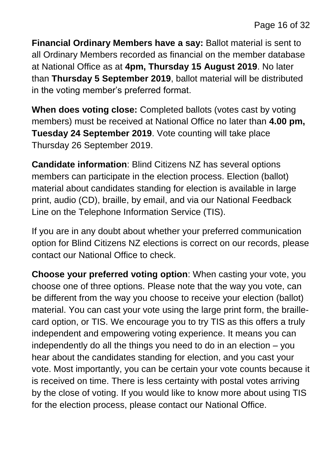**Financial Ordinary Members have a say:** Ballot material is sent to all Ordinary Members recorded as financial on the member database at National Office as at **4pm, Thursday 15 August 2019**. No later than **Thursday 5 September 2019**, ballot material will be distributed in the voting member's preferred format.

**When does voting close:** Completed ballots (votes cast by voting members) must be received at National Office no later than **4.00 pm, Tuesday 24 September 2019**. Vote counting will take place Thursday 26 September 2019.

**Candidate information**: Blind Citizens NZ has several options members can participate in the election process. Election (ballot) material about candidates standing for election is available in large print, audio (CD), braille, by email, and via our National Feedback Line on the Telephone Information Service (TIS).

If you are in any doubt about whether your preferred communication option for Blind Citizens NZ elections is correct on our records, please contact our National Office to check.

**Choose your preferred voting option**: When casting your vote, you choose one of three options. Please note that the way you vote, can be different from the way you choose to receive your election (ballot) material. You can cast your vote using the large print form, the braillecard option, or TIS. We encourage you to try TIS as this offers a truly independent and empowering voting experience. It means you can independently do all the things you need to do in an election – you hear about the candidates standing for election, and you cast your vote. Most importantly, you can be certain your vote counts because it is received on time. There is less certainty with postal votes arriving by the close of voting. If you would like to know more about using TIS for the election process, please contact our National Office.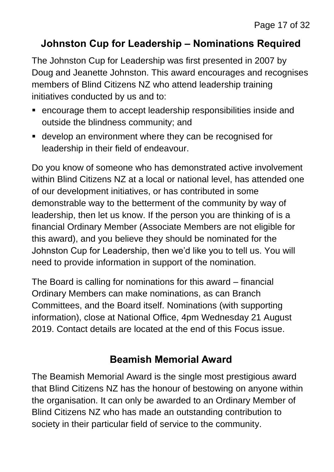#### **Johnston Cup for Leadership – Nominations Required**

The Johnston Cup for Leadership was first presented in 2007 by Doug and Jeanette Johnston. This award encourages and recognises members of Blind Citizens NZ who attend leadership training initiatives conducted by us and to:

- encourage them to accept leadership responsibilities inside and outside the blindness community; and
- develop an environment where they can be recognised for leadership in their field of endeavour.

Do you know of someone who has demonstrated active involvement within Blind Citizens NZ at a local or national level, has attended one of our development initiatives, or has contributed in some demonstrable way to the betterment of the community by way of leadership, then let us know. If the person you are thinking of is a financial Ordinary Member (Associate Members are not eligible for this award), and you believe they should be nominated for the Johnston Cup for Leadership, then we'd like you to tell us. You will need to provide information in support of the nomination.

The Board is calling for nominations for this award – financial Ordinary Members can make nominations, as can Branch Committees, and the Board itself. Nominations (with supporting information), close at National Office, 4pm Wednesday 21 August 2019. Contact details are located at the end of this Focus issue.

#### **Beamish Memorial Award**

The Beamish Memorial Award is the single most prestigious award that Blind Citizens NZ has the honour of bestowing on anyone within the organisation. It can only be awarded to an Ordinary Member of Blind Citizens NZ who has made an outstanding contribution to society in their particular field of service to the community.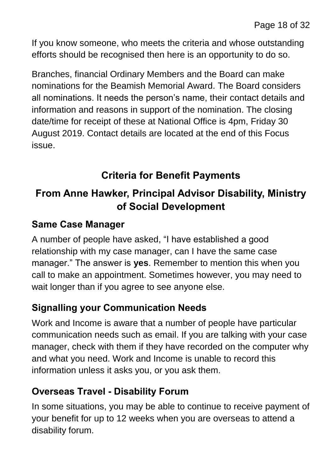If you know someone, who meets the criteria and whose outstanding efforts should be recognised then here is an opportunity to do so.

Branches, financial Ordinary Members and the Board can make nominations for the Beamish Memorial Award. The Board considers all nominations. It needs the person's name, their contact details and information and reasons in support of the nomination. The closing date/time for receipt of these at National Office is 4pm, Friday 30 August 2019. Contact details are located at the end of this Focus issue.

## **Criteria for Benefit Payments**

## **From Anne Hawker, Principal Advisor Disability, Ministry of Social Development**

#### **Same Case Manager**

A number of people have asked, "I have established a good relationship with my case manager, can I have the same case manager." The answer is **yes**. Remember to mention this when you call to make an appointment. Sometimes however, you may need to wait longer than if you agree to see anyone else.

#### **Signalling your Communication Needs**

Work and Income is aware that a number of people have particular communication needs such as email. If you are talking with your case manager, check with them if they have recorded on the computer why and what you need. Work and Income is unable to record this information unless it asks you, or you ask them.

#### **Overseas Travel - Disability Forum**

In some situations, you may be able to continue to receive payment of your benefit for up to 12 weeks when you are overseas to attend a disability forum.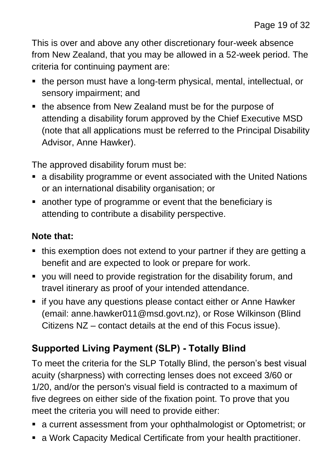This is over and above any other discretionary four-week absence from New Zealand, that you may be allowed in a 52-week period. The criteria for continuing payment are:

- the person must have a long-term physical, mental, intellectual, or sensory impairment; and
- the absence from New Zealand must be for the purpose of attending a disability forum approved by the Chief Executive MSD (note that all applications must be referred to the Principal Disability Advisor, Anne Hawker).

The approved disability forum must be:

- a disability programme or event associated with the United Nations or an international disability organisation; or
- another type of programme or event that the beneficiary is attending to contribute a disability perspective.

#### **Note that:**

- this exemption does not extend to your partner if they are getting a benefit and are expected to look or prepare for work.
- you will need to provide registration for the disability forum, and travel itinerary as proof of your intended attendance.
- **F** if you have any questions please contact either or Anne Hawker (email: [anne.hawker011@msd.govt.nz\)](mailto:anne.hawker011@msd.govt.nz), or Rose Wilkinson (Blind Citizens NZ – contact details at the end of this Focus issue).

## **Supported Living Payment (SLP) - Totally Blind**

To meet the criteria for the SLP Totally Blind, the person's best visual acuity (sharpness) with correcting lenses does not exceed 3/60 or 1/20, and/or the person's visual field is contracted to a maximum of five degrees on either side of the fixation point. To prove that you meet the criteria you will need to provide either:

- a current assessment from your [ophthalmologist](http://doogle.ssi.govt.nz/map/definitions/ophthalmologist.html) or [Optometrist;](http://doogle.ssi.govt.nz/map/definitions/optometrist.html) or
- a [Work Capacity Medical Certificate](http://doogle.ssi.govt.nz/map/definitions/work-capacity-medical-certificate.html) from your [health practitioner.](http://doogle.ssi.govt.nz/map/income-support/main-benefits/supported-living-payment/health-practitioners.html)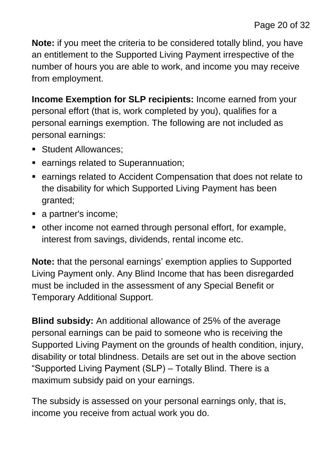**Note:** if you meet the criteria to be considered totally blind, you have an entitlement to the Supported Living Payment irrespective of the number of hours you are able to work, and income you may receive from employment.

**Income Exemption for SLP recipients:** Income earned from your personal effort (that is, work completed by you), qualifies for a personal earnings exemption. The following are not included as personal earnings:

- **Student Allowances:**
- **E** earnings related to Superannuation;
- earnings related to Accident Compensation that does not relate to the disability for which Supported Living Payment has been granted;
- a partner's income;
- other income not earned through personal effort, for example, interest from savings, dividends, rental income etc.

**Note:** that the personal earnings' exemption applies to Supported Living Payment only. Any Blind Income that has been disregarded must be included in the assessment of any Special Benefit or Temporary Additional Support.

**Blind subsidy:** An additional allowance of 25% of the average personal earnings can be paid to someone who is receiving the Supported Living Payment on the grounds of health condition, injury, disability or total blindness. Details are set out in the above section "Supported Living Payment (SLP) – Totally Blind. There is a maximum subsidy paid on your earnings.

The subsidy is assessed on your personal earnings only, that is, income you receive from actual work you do.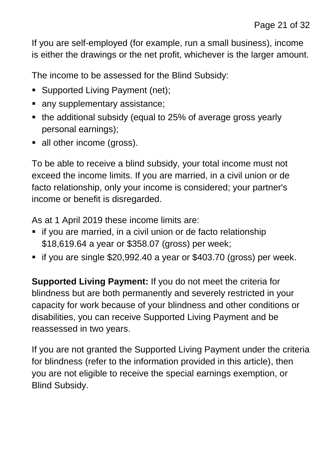If you are self-employed (for example, run a small business), income is either the drawings or the net profit, whichever is the larger amount.

The income to be assessed for the Blind Subsidy:

- **Supported Living Payment (net);**
- any supplementary assistance;
- the additional subsidy (equal to 25% of average gross yearly personal earnings);
- all other income (gross).

To be able to receive a blind subsidy, your total income must not exceed the income limits. If you are married, in a civil union or de facto relationship, only your income is considered; your partner's income or benefit is disregarded.

As at 1 April 2019 these income limits are:

- if you are married, in a civil union or de facto relationship \$18,619.64 a year or \$358.07 (gross) per week;
- if you are single \$20,992.40 a year or \$403.70 (gross) per week.

**Supported Living Payment:** If you do not meet the criteria for blindness but are both permanently and severely restricted in your capacity for work because of your blindness and other conditions or disabilities, you can receive Supported Living Payment and be reassessed in two years.

If you are not granted the Supported Living Payment under the criteria for blindness (refer to the information provided in this article), then you are not eligible to receive the special earnings exemption, or Blind Subsidy.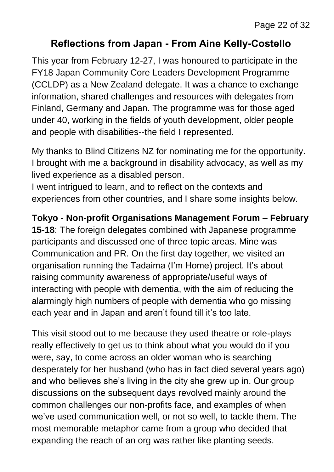#### **Reflections from Japan - From Aine Kelly-Costello**

This year from February 12-27, I was honoured to participate in the FY18 Japan Community Core Leaders Development Programme (CCLDP) as a New Zealand delegate. It was a chance to exchange information, shared challenges and resources with delegates from Finland, Germany and Japan. The programme was for those aged under 40, working in the fields of youth development, older people and people with disabilities--the field I represented.

My thanks to Blind Citizens NZ for nominating me for the opportunity. I brought with me a background in disability advocacy, as well as my lived experience as a disabled person.

I went intrigued to learn, and to reflect on the contexts and experiences from other countries, and I share some insights below.

**Tokyo - Non-profit Organisations Management Forum – February 15-18**: The foreign delegates combined with Japanese programme participants and discussed one of three topic areas. Mine was Communication and PR. On the first day together, we visited an organisation running the Tadaima (I'm Home) project. It's about raising community awareness of appropriate/useful ways of interacting with people with dementia, with the aim of reducing the alarmingly high numbers of people with dementia who go missing each year and in Japan and aren't found till it's too late.

This visit stood out to me because they used theatre or role-plays really effectively to get us to think about what you would do if you were, say, to come across an older woman who is searching desperately for her husband (who has in fact died several years ago) and who believes she's living in the city she grew up in. Our group discussions on the subsequent days revolved mainly around the common challenges our non-profits face, and examples of when we've used communication well, or not so well, to tackle them. The most memorable metaphor came from a group who decided that expanding the reach of an org was rather like planting seeds.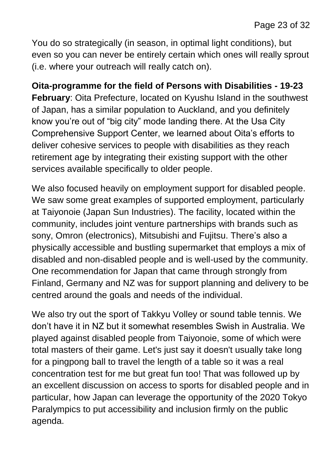You do so strategically (in season, in optimal light conditions), but even so you can never be entirely certain which ones will really sprout (i.e. where your outreach will really catch on).

**Oita-programme for the field of Persons with Disabilities - 19-23 February**: Oita Prefecture, located on Kyushu Island in the southwest of Japan, has a similar population to Auckland, and you definitely know you're out of "big city" mode landing there. At the Usa City Comprehensive Support Center, we learned about Oita's efforts to deliver cohesive services to people with disabilities as they reach retirement age by integrating their existing support with the other services available specifically to older people.

We also focused heavily on employment support for disabled people. We saw some great examples of supported employment, particularly at Taiyonoie (Japan Sun Industries). The facility, located within the community, includes joint venture partnerships with brands such as sony, Omron (electronics), Mitsubishi and Fujitsu. There's also a physically accessible and bustling supermarket that employs a mix of disabled and non-disabled people and is well-used by the community. One recommendation for Japan that came through strongly from Finland, Germany and NZ was for support planning and delivery to be centred around the goals and needs of the individual.

We also try out the sport of Takkyu Volley or sound table tennis. We don't have it in NZ but it somewhat resembles Swish in Australia. We played against disabled people from Taiyonoie, some of which were total masters of their game. Let's just say it doesn't usually take long for a pingpong ball to travel the length of a table so it was a real concentration test for me but great fun too! That was followed up by an excellent discussion on access to sports for disabled people and in particular, how Japan can leverage the opportunity of the 2020 Tokyo Paralympics to put accessibility and inclusion firmly on the public agenda.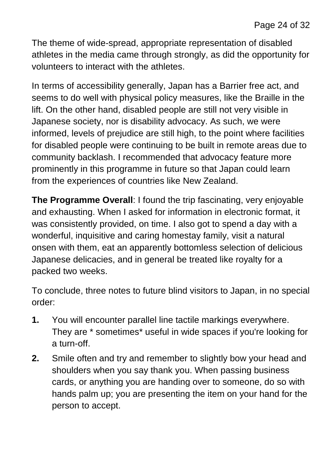The theme of wide-spread, appropriate representation of disabled athletes in the media came through strongly, as did the opportunity for volunteers to interact with the athletes.

In terms of accessibility generally, Japan has a Barrier free act, and seems to do well with physical policy measures, like the Braille in the lift. On the other hand, disabled people are still not very visible in Japanese society, nor is disability advocacy. As such, we were informed, levels of prejudice are still high, to the point where facilities for disabled people were continuing to be built in remote areas due to community backlash. I recommended that advocacy feature more prominently in this programme in future so that Japan could learn from the experiences of countries like New Zealand.

**The Programme Overall**: I found the trip fascinating, very enjoyable and exhausting. When I asked for information in electronic format, it was consistently provided, on time. I also got to spend a day with a wonderful, inquisitive and caring homestay family, visit a natural onsen with them, eat an apparently bottomless selection of delicious Japanese delicacies, and in general be treated like royalty for a packed two weeks.

To conclude, three notes to future blind visitors to Japan, in no special order:

- **1.** You will encounter parallel line tactile markings everywhere. They are \* sometimes\* useful in wide spaces if you're looking for a turn-off.
- **2.** Smile often and try and remember to slightly bow your head and shoulders when you say thank you. When passing business cards, or anything you are handing over to someone, do so with hands palm up; you are presenting the item on your hand for the person to accept.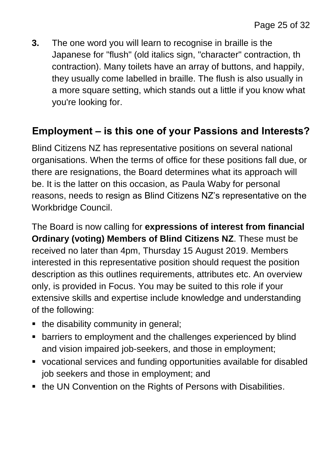**3.** The one word you will learn to recognise in braille is the Japanese for "flush" (old italics sign, "character" contraction, th contraction). Many toilets have an array of buttons, and happily, they usually come labelled in braille. The flush is also usually in a more square setting, which stands out a little if you know what you're looking for.

#### **Employment – is this one of your Passions and Interests?**

Blind Citizens NZ has representative positions on several national organisations. When the terms of office for these positions fall due, or there are resignations, the Board determines what its approach will be. It is the latter on this occasion, as Paula Waby for personal reasons, needs to resign as Blind Citizens NZ's representative on the Workbridge Council.

The Board is now calling for **expressions of interest from financial Ordinary (voting) Members of Blind Citizens NZ**. These must be received no later than 4pm, Thursday 15 August 2019. Members interested in this representative position should request the position description as this outlines requirements, attributes etc. An overview only, is provided in Focus. You may be suited to this role if your extensive skills and expertise include knowledge and understanding of the following:

- the disability community in general;
- barriers to employment and the challenges experienced by blind and vision impaired job-seekers, and those in employment;
- vocational services and funding opportunities available for disabled job seekers and those in employment; and
- the UN Convention on the Rights of Persons with Disabilities.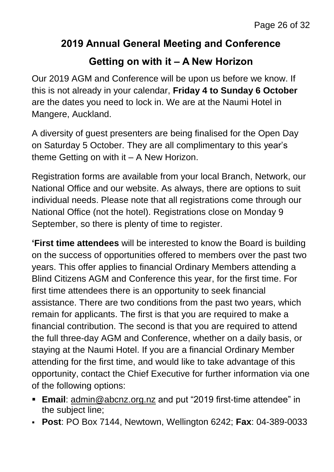#### **2019 Annual General Meeting and Conference**

#### **Getting on with it – A New Horizon**

Our 2019 AGM and Conference will be upon us before we know. If this is not already in your calendar, **Friday 4 to Sunday 6 October** are the dates you need to lock in. We are at the Naumi Hotel in Mangere, Auckland.

A diversity of guest presenters are being finalised for the Open Day on Saturday 5 October. They are all complimentary to this year's theme Getting on with it – A New Horizon.

Registration forms are available from your local Branch, Network, our National Office and our website. As always, there are options to suit individual needs. Please note that all registrations come through our National Office (not the hotel). Registrations close on Monday 9 September, so there is plenty of time to register.

**'First time attendees** will be interested to know the Board is building on the success of opportunities offered to members over the past two years. This offer applies to financial Ordinary Members attending a Blind Citizens AGM and Conference this year, for the first time. For first time attendees there is an opportunity to seek financial assistance. There are two conditions from the past two years, which remain for applicants. The first is that you are required to make a financial contribution. The second is that you are required to attend the full three-day AGM and Conference, whether on a daily basis, or staying at the Naumi Hotel. If you are a financial Ordinary Member attending for the first time, and would like to take advantage of this opportunity, contact the Chief Executive for further information via one of the following options:

- **Email**: [admin@abcnz.org.nz](mailto:admin@abcnz.org.nz) and put "2019 first-time attendee" in the subject line;
- **Post**: PO Box 7144, Newtown, Wellington 6242; **Fax**: 04-389-0033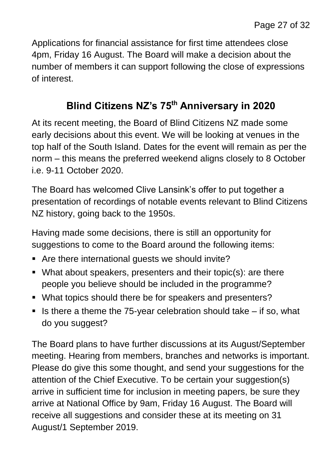Applications for financial assistance for first time attendees close 4pm, Friday 16 August. The Board will make a decision about the number of members it can support following the close of expressions of interest.

## **Blind Citizens NZ's 75th Anniversary in 2020**

At its recent meeting, the Board of Blind Citizens NZ made some early decisions about this event. We will be looking at venues in the top half of the South Island. Dates for the event will remain as per the norm – this means the preferred weekend aligns closely to 8 October i.e. 9-11 October 2020.

The Board has welcomed Clive Lansink's offer to put together a presentation of recordings of notable events relevant to Blind Citizens NZ history, going back to the 1950s.

Having made some decisions, there is still an opportunity for suggestions to come to the Board around the following items:

- Are there international guests we should invite?
- What about speakers, presenters and their topic(s): are there people you believe should be included in the programme?
- What topics should there be for speakers and presenters?
- If is there a theme the  $75$ -year celebration should take  $-$  if so, what do you suggest?

The Board plans to have further discussions at its August/September meeting. Hearing from members, branches and networks is important. Please do give this some thought, and send your suggestions for the attention of the Chief Executive. To be certain your suggestion(s) arrive in sufficient time for inclusion in meeting papers, be sure they arrive at National Office by 9am, Friday 16 August. The Board will receive all suggestions and consider these at its meeting on 31 August/1 September 2019.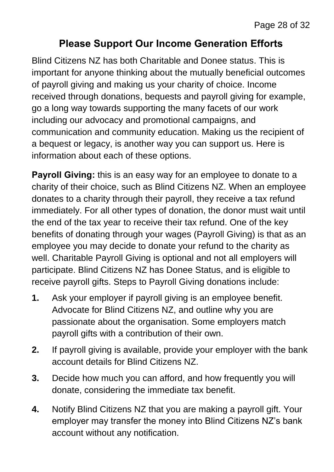#### **Please Support Our Income Generation Efforts**

Blind Citizens NZ has both Charitable and Donee status. This is important for anyone thinking about the mutually beneficial outcomes of payroll giving and making us your charity of choice. Income received through donations, bequests and payroll giving for example, go a long way towards supporting the many facets of our work including our advocacy and promotional campaigns, and communication and community education. Making us the recipient of a bequest or legacy, is another way you can support us. Here is information about each of these options.

**Payroll Giving:** this is an easy way for an employee to donate to a charity of their choice, such as Blind Citizens NZ. When an employee donates to a charity through their payroll, they receive a tax refund immediately. For all other types of donation, the donor must wait until the end of the tax year to receive their tax refund. One of the key benefits of donating through your wages (Payroll Giving) is that as an employee you may decide to donate your refund to the charity as well. Charitable Payroll Giving is optional and not all employers will participate. Blind Citizens NZ has Donee Status, and is eligible to receive payroll gifts. Steps to Payroll Giving donations include:

- **1.** Ask your employer if payroll giving is an employee benefit. Advocate for Blind Citizens NZ, and outline why you are passionate about the organisation. Some employers match payroll gifts with a contribution of their own.
- **2.** If payroll giving is available, provide your employer with the bank account details for Blind Citizens NZ.
- **3.** Decide how much you can afford, and how frequently you will donate, considering the immediate tax benefit.
- **4.** Notify Blind Citizens NZ that you are making a payroll gift. Your employer may transfer the money into Blind Citizens NZ's bank account without any notification.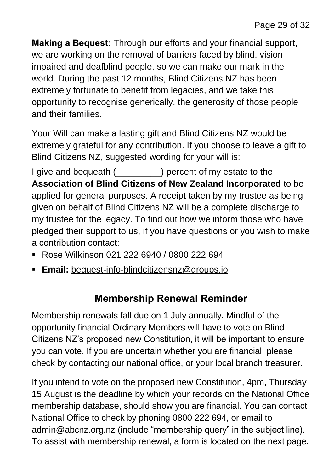**Making a Bequest:** Through our efforts and your financial support, we are working on the removal of barriers faced by blind, vision impaired and deafblind people, so we can make our mark in the world. During the past 12 months, Blind Citizens NZ has been extremely fortunate to benefit from legacies, and we take this opportunity to recognise generically, the generosity of those people and their families.

Your Will can make a lasting gift and Blind Citizens NZ would be extremely grateful for any contribution. If you choose to leave a gift to Blind Citizens NZ, suggested wording for your will is:

I give and bequeath () percent of my estate to the **Association of Blind Citizens of New Zealand Incorporated** to be applied for general purposes. A receipt taken by my trustee as being given on behalf of Blind Citizens NZ will be a complete discharge to my trustee for the legacy. To find out how we inform those who have pledged their support to us, if you have questions or you wish to make a contribution contact:

- Rose Wilkinson 021 222 6940 / 0800 222 694
- **Email:** [bequest-info-blindcitizensnz@groups.io](mailto:bequest-info-blindcitizensnz@groups.io)

## **Membership Renewal Reminder**

Membership renewals fall due on 1 July annually. Mindful of the opportunity financial Ordinary Members will have to vote on Blind Citizens NZ's proposed new Constitution, it will be important to ensure you can vote. If you are uncertain whether you are financial, please check by contacting our national office, or your local branch treasurer.

If you intend to vote on the proposed new Constitution, 4pm, Thursday 15 August is the deadline by which your records on the National Office membership database, should show you are financial. You can contact National Office to check by phoning 0800 222 694, or email to [admin@abcnz.org.nz](mailto:admin@abcnz.org.nz) (include "membership query" in the subject line). To assist with membership renewal, a form is located on the next page.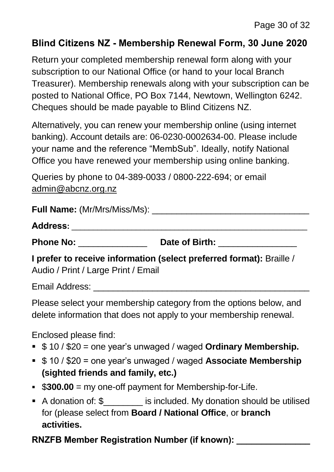#### **Blind Citizens NZ - Membership Renewal Form, 30 June 2020**

Return your completed membership renewal form along with your subscription to our National Office (or hand to your local Branch Treasurer). Membership renewals along with your subscription can be posted to National Office, PO Box 7144, Newtown, Wellington 6242. Cheques should be made payable to Blind Citizens NZ.

Alternatively, you can renew your membership online (using internet banking). Account details are: 06-0230-0002634-00. Please include your name and the reference "MembSub". Ideally, notify National Office you have renewed your membership using online banking.

Queries by phone to 04-389-0033 / 0800-222-694; or email [admin@abcnz.org.nz](mailto:admin@abcnz.org.nz)

| Full Name: (Mr/Mrs/Miss/Ms): |  |
|------------------------------|--|
| .                            |  |

**Address:** \_\_\_\_\_\_\_\_\_\_\_\_\_\_\_\_\_\_\_\_\_\_\_\_\_\_\_\_\_\_\_\_\_\_\_\_\_\_\_\_\_\_\_\_\_\_\_\_\_\_\_\_\_\_\_

Phone No: **Date of Birth:**  $\blacksquare$ 

**I prefer to receive information (select preferred format):** Braille / Audio / Print / Large Print / Email

Email Address: **Email Address**:

Please select your membership category from the options below, and delete information that does not apply to your membership renewal.

Enclosed please find:

- \$ 10 / \$20 = one year's unwaged / waged **Ordinary Membership.**
- \$ 10 / \$20 = one year's unwaged / waged **Associate Membership (sighted friends and family, etc.)**
- \$**300.00** = my one-off payment for Membership-for-Life.
- A donation of: \$ The state of is included. My donation should be utilised for (please select from **Board / National Office**, or **branch activities.**

#### **RNZFB Member Registration Number (if known): \_\_\_\_\_\_\_\_\_\_\_\_\_\_\_**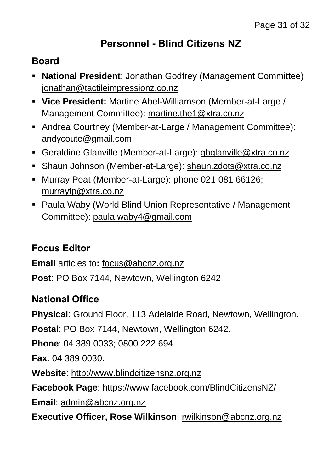## **Personnel - Blind Citizens NZ**

#### **Board**

- **National President**: Jonathan Godfrey (Management Committee) [jonathan@tactileimpressionz.co.nz](mailto:jonathan@tactileimpressionz.co.nz)
- **Vice President:** Martine Abel-Williamson (Member-at-Large / Management Committee): [martine.the1@xtra.co.nz](mailto:martine.the1@xtra.co.nz)
- Andrea Courtney (Member-at-Large / Management Committee): [andycoute@gmail.com](mailto:andycoute@gmail.com)
- Geraldine Glanville (Member-at-Large): [gbglanville@xtra.co.nz](mailto:gbglanville@xtra.co.nz)
- Shaun Johnson (Member-at-Large): [shaun.zdots@xtra.co.nz](mailto:shaun.zdots@xtra.co.nz%20co.nz)
- Murray Peat (Member-at-Large): phone 021 081 66126; [murraytp@xtra.co.nz](mailto:murraytp@xtra.co.nz)
- Paula Waby (World Blind Union Representative / Management Committee): [paula.waby4@gmail.com](mailto:paula.waby4@gmail.com)

## **Focus Editor**

**Email** articles to**:** [focus@abcnz.org.nz](mailto:focus@abcnz.org.nz)

**Post**: PO Box 7144, Newtown, Wellington 6242

## **National Office**

**Physical**: Ground Floor, 113 Adelaide Road, Newtown, Wellington.

**Postal**: PO Box 7144, Newtown, Wellington 6242.

**Phone**: 04 389 0033; 0800 222 694.

**Fax**: 04 389 0030.

**Website**: [http://www.blindcitizensnz.org.nz](http://www.blindcitizensnz.org.nz/)

**Facebook Page**:<https://www.facebook.com/BlindCitizensNZ/>

**Email**: [admin@abcnz.org.nz](mailto:admin@abcnz.org.nz)

**Executive Officer, Rose Wilkinson**: [rwilkinson@abcnz.org.nz](mailto:rwilkinson@abcnz.org.nz)